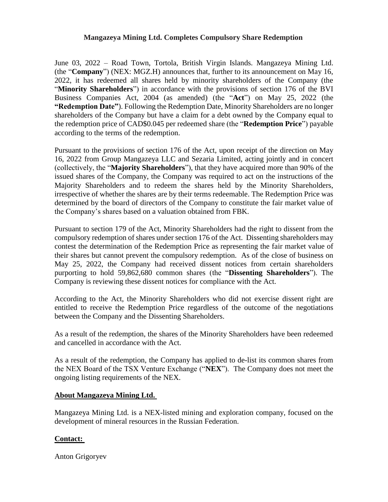## **Mangazeya Mining Ltd. Completes Compulsory Share Redemption**

June 03, 2022 – Road Town, Tortola, British Virgin Islands. Mangazeya Mining Ltd. (the "**Company**") (NEX: MGZ.H) announces that, further to its announcement on May 16, 2022, it has redeemed all shares held by minority shareholders of the Company (the "**Minority Shareholders**") in accordance with the provisions of section 176 of the BVI Business Companies Act, 2004 (as amended) (the "**Act**") on May 25, 2022 (the **"Redemption Date"**). Following the Redemption Date, Minority Shareholders are no longer shareholders of the Company but have a claim for a debt owned by the Company equal to the redemption price of CAD\$0.045 per redeemed share (the "**Redemption Price**") payable according to the terms of the redemption.

Pursuant to the provisions of section 176 of the Act, upon receipt of the direction on May 16, 2022 from Group Mangazeya LLC and Sezaria Limited, acting jointly and in concert (collectively, the "**Majority Shareholders**"), that they have acquired more than 90% of the issued shares of the Company, the Company was required to act on the instructions of the Majority Shareholders and to redeem the shares held by the Minority Shareholders, irrespective of whether the shares are by their terms redeemable. The Redemption Price was determined by the board of directors of the Company to constitute the fair market value of the Company's shares based on a valuation obtained from FBK.

Pursuant to section 179 of the Act, Minority Shareholders had the right to dissent from the compulsory redemption of shares under section 176 of the Act. Dissenting shareholders may contest the determination of the Redemption Price as representing the fair market value of their shares but cannot prevent the compulsory redemption. As of the close of business on May 25, 2022, the Company had received dissent notices from certain shareholders purporting to hold 59,862,680 common shares (the "**Dissenting Shareholders**"). The Company is reviewing these dissent notices for compliance with the Act.

According to the Act, the Minority Shareholders who did not exercise dissent right are entitled to receive the Redemption Price regardless of the outcome of the negotiations between the Company and the Dissenting Shareholders.

As a result of the redemption, the shares of the Minority Shareholders have been redeemed and cancelled in accordance with the Act.

As a result of the redemption, the Company has applied to de-list its common shares from the NEX Board of the TSX Venture Exchange ("**NEX**"). The Company does not meet the ongoing listing requirements of the NEX.

## **About Mangazeya Mining Ltd.**

Mangazeya Mining Ltd. is a NEX-listed mining and exploration company, focused on the development of mineral resources in the Russian Federation.

## **Contact:**

Anton Grigoryev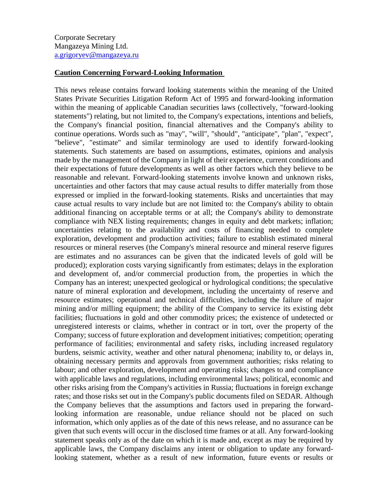## **Caution Concerning Forward-Looking Information**

This news release contains forward looking statements within the meaning of the United States Private Securities Litigation Reform Act of 1995 and forward-looking information within the meaning of applicable Canadian securities laws (collectively, "forward-looking statements") relating, but not limited to, the Company's expectations, intentions and beliefs, the Company's financial position, financial alternatives and the Company's ability to continue operations. Words such as "may", "will", "should", "anticipate", "plan", "expect", "believe", "estimate" and similar terminology are used to identify forward-looking statements. Such statements are based on assumptions, estimates, opinions and analysis made by the management of the Company in light of their experience, current conditions and their expectations of future developments as well as other factors which they believe to be reasonable and relevant. Forward-looking statements involve known and unknown risks, uncertainties and other factors that may cause actual results to differ materially from those expressed or implied in the forward-looking statements. Risks and uncertainties that may cause actual results to vary include but are not limited to: the Company's ability to obtain additional financing on acceptable terms or at all; the Company's ability to demonstrate compliance with NEX listing requirements; changes in equity and debt markets; inflation; uncertainties relating to the availability and costs of financing needed to complete exploration, development and production activities; failure to establish estimated mineral resources or mineral reserves (the Company's mineral resource and mineral reserve figures are estimates and no assurances can be given that the indicated levels of gold will be produced); exploration costs varying significantly from estimates; delays in the exploration and development of, and/or commercial production from, the properties in which the Company has an interest; unexpected geological or hydrological conditions; the speculative nature of mineral exploration and development, including the uncertainty of reserve and resource estimates; operational and technical difficulties, including the failure of major mining and/or milling equipment; the ability of the Company to service its existing debt facilities; fluctuations in gold and other commodity prices; the existence of undetected or unregistered interests or claims, whether in contract or in tort, over the property of the Company; success of future exploration and development initiatives; competition; operating performance of facilities; environmental and safety risks, including increased regulatory burdens, seismic activity, weather and other natural phenomena; inability to, or delays in, obtaining necessary permits and approvals from government authorities; risks relating to labour; and other exploration, development and operating risks; changes to and compliance with applicable laws and regulations, including environmental laws; political, economic and other risks arising from the Company's activities in Russia; fluctuations in foreign exchange rates; and those risks set out in the Company's public documents filed on SEDAR. Although the Company believes that the assumptions and factors used in preparing the forwardlooking information are reasonable, undue reliance should not be placed on such information, which only applies as of the date of this news release, and no assurance can be given that such events will occur in the disclosed time frames or at all. Any forward-looking statement speaks only as of the date on which it is made and, except as may be required by applicable laws, the Company disclaims any intent or obligation to update any forwardlooking statement, whether as a result of new information, future events or results or